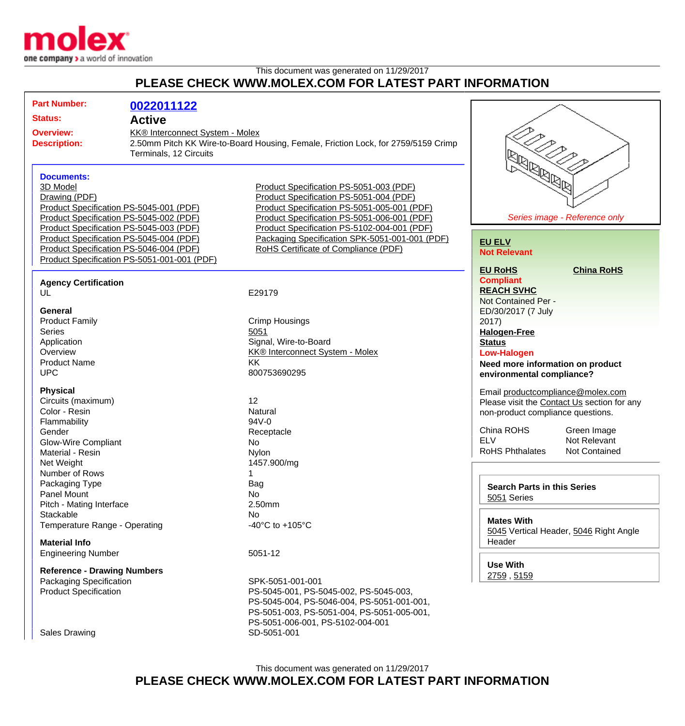

## This document was generated on 11/29/2017 **PLEASE CHECK WWW.MOLEX.COM FOR LATEST PART INFORMATION**

| <b>Status:</b><br><b>Active</b><br>KK® Interconnect System - Molex<br><b>Overview:</b><br>2.50mm Pitch KK Wire-to-Board Housing, Female, Friction Lock, for 2759/5159 Crimp<br><b>Description:</b><br>Terminals, 12 Circuits<br><b>IBBBBB</b><br><b>Documents:</b><br>3D Model<br>Product Specification PS-5051-003 (PDF)<br>Product Specification PS-5051-004 (PDF)<br>Drawing (PDF)<br>Product Specification PS-5045-001 (PDF)<br>Product Specification PS-5051-005-001 (PDF)<br>Series image - Reference only<br>Product Specification PS-5045-002 (PDF)<br>Product Specification PS-5051-006-001 (PDF)<br>Product Specification PS-5045-003 (PDF)<br>Product Specification PS-5102-004-001 (PDF)<br>Product Specification PS-5045-004 (PDF)<br>Packaging Specification SPK-5051-001-001 (PDF)<br><b>EU ELV</b><br>Product Specification PS-5046-004 (PDF)<br>RoHS Certificate of Compliance (PDF)<br><b>Not Relevant</b><br>Product Specification PS-5051-001-001 (PDF)<br><b>EU RoHS</b><br><b>China RoHS</b><br><b>Compliant</b><br><b>Agency Certification</b><br><b>REACH SVHC</b><br>UL<br>E29179<br>Not Contained Per -<br>General<br>ED/30/2017 (7 July<br><b>Product Family</b><br><b>Crimp Housings</b><br>2017)<br><b>Series</b><br>5051<br><b>Halogen-Free</b><br>Signal, Wire-to-Board<br>Application<br><b>Status</b><br>Overview<br><b>KK® Interconnect System - Molex</b><br><b>Low-Halogen</b><br><b>Product Name</b><br>KK<br>Need more information on product<br><b>UPC</b><br>800753690295<br>environmental compliance?<br><b>Physical</b><br>Email productcompliance@molex.com<br>Circuits (maximum)<br>12<br>Please visit the Contact Us section for any<br>Color - Resin<br>Natural<br>non-product compliance questions.<br>$94V - 0$<br>Flammability<br>China ROHS<br>Green Image<br>Gender<br>Receptacle<br><b>ELV</b><br>Not Relevant<br><b>Glow-Wire Compliant</b><br>No<br><b>RoHS Phthalates</b><br>Not Contained<br>Material - Resin<br><b>Nylon</b><br>1457.900/mg<br>Net Weight<br>Number of Rows<br>Packaging Type<br>Bag<br><b>Search Parts in this Series</b><br><b>Panel Mount</b><br>No<br>5051 Series<br>2.50mm<br>Pitch - Mating Interface<br>Stackable<br>No<br><b>Mates With</b><br>Temperature Range - Operating<br>-40 $^{\circ}$ C to +105 $^{\circ}$ C<br>5045 Vertical Header, 5046 Right Angle<br>Header<br><b>Material Info</b><br>5051-12<br><b>Engineering Number</b><br><b>Use With</b><br><b>Reference - Drawing Numbers</b><br>2759, 5159<br>Packaging Specification<br>SPK-5051-001-001<br><b>Product Specification</b><br>PS-5045-001, PS-5045-002, PS-5045-003,<br>PS-5045-004, PS-5046-004, PS-5051-001-001,<br>PS-5051-003, PS-5051-004, PS-5051-005-001,<br>PS-5051-006-001, PS-5102-004-001<br>SD-5051-001<br><b>Sales Drawing</b> | <b>Part Number:</b> |            |  |  |
|---------------------------------------------------------------------------------------------------------------------------------------------------------------------------------------------------------------------------------------------------------------------------------------------------------------------------------------------------------------------------------------------------------------------------------------------------------------------------------------------------------------------------------------------------------------------------------------------------------------------------------------------------------------------------------------------------------------------------------------------------------------------------------------------------------------------------------------------------------------------------------------------------------------------------------------------------------------------------------------------------------------------------------------------------------------------------------------------------------------------------------------------------------------------------------------------------------------------------------------------------------------------------------------------------------------------------------------------------------------------------------------------------------------------------------------------------------------------------------------------------------------------------------------------------------------------------------------------------------------------------------------------------------------------------------------------------------------------------------------------------------------------------------------------------------------------------------------------------------------------------------------------------------------------------------------------------------------------------------------------------------------------------------------------------------------------------------------------------------------------------------------------------------------------------------------------------------------------------------------------------------------------------------------------------------------------------------------------------------------------------------------------------------------------------------------------------------------------------------------------------------------------------------------------------------------------------------------------------------------------------------------------------------------------------------------------------------------------------------------------------------------------------------------------------|---------------------|------------|--|--|
|                                                                                                                                                                                                                                                                                                                                                                                                                                                                                                                                                                                                                                                                                                                                                                                                                                                                                                                                                                                                                                                                                                                                                                                                                                                                                                                                                                                                                                                                                                                                                                                                                                                                                                                                                                                                                                                                                                                                                                                                                                                                                                                                                                                                                                                                                                                                                                                                                                                                                                                                                                                                                                                                                                                                                                                                   |                     | 0022011122 |  |  |
|                                                                                                                                                                                                                                                                                                                                                                                                                                                                                                                                                                                                                                                                                                                                                                                                                                                                                                                                                                                                                                                                                                                                                                                                                                                                                                                                                                                                                                                                                                                                                                                                                                                                                                                                                                                                                                                                                                                                                                                                                                                                                                                                                                                                                                                                                                                                                                                                                                                                                                                                                                                                                                                                                                                                                                                                   |                     |            |  |  |
|                                                                                                                                                                                                                                                                                                                                                                                                                                                                                                                                                                                                                                                                                                                                                                                                                                                                                                                                                                                                                                                                                                                                                                                                                                                                                                                                                                                                                                                                                                                                                                                                                                                                                                                                                                                                                                                                                                                                                                                                                                                                                                                                                                                                                                                                                                                                                                                                                                                                                                                                                                                                                                                                                                                                                                                                   |                     |            |  |  |
|                                                                                                                                                                                                                                                                                                                                                                                                                                                                                                                                                                                                                                                                                                                                                                                                                                                                                                                                                                                                                                                                                                                                                                                                                                                                                                                                                                                                                                                                                                                                                                                                                                                                                                                                                                                                                                                                                                                                                                                                                                                                                                                                                                                                                                                                                                                                                                                                                                                                                                                                                                                                                                                                                                                                                                                                   |                     |            |  |  |
|                                                                                                                                                                                                                                                                                                                                                                                                                                                                                                                                                                                                                                                                                                                                                                                                                                                                                                                                                                                                                                                                                                                                                                                                                                                                                                                                                                                                                                                                                                                                                                                                                                                                                                                                                                                                                                                                                                                                                                                                                                                                                                                                                                                                                                                                                                                                                                                                                                                                                                                                                                                                                                                                                                                                                                                                   |                     |            |  |  |
|                                                                                                                                                                                                                                                                                                                                                                                                                                                                                                                                                                                                                                                                                                                                                                                                                                                                                                                                                                                                                                                                                                                                                                                                                                                                                                                                                                                                                                                                                                                                                                                                                                                                                                                                                                                                                                                                                                                                                                                                                                                                                                                                                                                                                                                                                                                                                                                                                                                                                                                                                                                                                                                                                                                                                                                                   |                     |            |  |  |
|                                                                                                                                                                                                                                                                                                                                                                                                                                                                                                                                                                                                                                                                                                                                                                                                                                                                                                                                                                                                                                                                                                                                                                                                                                                                                                                                                                                                                                                                                                                                                                                                                                                                                                                                                                                                                                                                                                                                                                                                                                                                                                                                                                                                                                                                                                                                                                                                                                                                                                                                                                                                                                                                                                                                                                                                   |                     |            |  |  |
|                                                                                                                                                                                                                                                                                                                                                                                                                                                                                                                                                                                                                                                                                                                                                                                                                                                                                                                                                                                                                                                                                                                                                                                                                                                                                                                                                                                                                                                                                                                                                                                                                                                                                                                                                                                                                                                                                                                                                                                                                                                                                                                                                                                                                                                                                                                                                                                                                                                                                                                                                                                                                                                                                                                                                                                                   |                     |            |  |  |
|                                                                                                                                                                                                                                                                                                                                                                                                                                                                                                                                                                                                                                                                                                                                                                                                                                                                                                                                                                                                                                                                                                                                                                                                                                                                                                                                                                                                                                                                                                                                                                                                                                                                                                                                                                                                                                                                                                                                                                                                                                                                                                                                                                                                                                                                                                                                                                                                                                                                                                                                                                                                                                                                                                                                                                                                   |                     |            |  |  |
|                                                                                                                                                                                                                                                                                                                                                                                                                                                                                                                                                                                                                                                                                                                                                                                                                                                                                                                                                                                                                                                                                                                                                                                                                                                                                                                                                                                                                                                                                                                                                                                                                                                                                                                                                                                                                                                                                                                                                                                                                                                                                                                                                                                                                                                                                                                                                                                                                                                                                                                                                                                                                                                                                                                                                                                                   |                     |            |  |  |
|                                                                                                                                                                                                                                                                                                                                                                                                                                                                                                                                                                                                                                                                                                                                                                                                                                                                                                                                                                                                                                                                                                                                                                                                                                                                                                                                                                                                                                                                                                                                                                                                                                                                                                                                                                                                                                                                                                                                                                                                                                                                                                                                                                                                                                                                                                                                                                                                                                                                                                                                                                                                                                                                                                                                                                                                   |                     |            |  |  |
|                                                                                                                                                                                                                                                                                                                                                                                                                                                                                                                                                                                                                                                                                                                                                                                                                                                                                                                                                                                                                                                                                                                                                                                                                                                                                                                                                                                                                                                                                                                                                                                                                                                                                                                                                                                                                                                                                                                                                                                                                                                                                                                                                                                                                                                                                                                                                                                                                                                                                                                                                                                                                                                                                                                                                                                                   |                     |            |  |  |
|                                                                                                                                                                                                                                                                                                                                                                                                                                                                                                                                                                                                                                                                                                                                                                                                                                                                                                                                                                                                                                                                                                                                                                                                                                                                                                                                                                                                                                                                                                                                                                                                                                                                                                                                                                                                                                                                                                                                                                                                                                                                                                                                                                                                                                                                                                                                                                                                                                                                                                                                                                                                                                                                                                                                                                                                   |                     |            |  |  |
|                                                                                                                                                                                                                                                                                                                                                                                                                                                                                                                                                                                                                                                                                                                                                                                                                                                                                                                                                                                                                                                                                                                                                                                                                                                                                                                                                                                                                                                                                                                                                                                                                                                                                                                                                                                                                                                                                                                                                                                                                                                                                                                                                                                                                                                                                                                                                                                                                                                                                                                                                                                                                                                                                                                                                                                                   |                     |            |  |  |
|                                                                                                                                                                                                                                                                                                                                                                                                                                                                                                                                                                                                                                                                                                                                                                                                                                                                                                                                                                                                                                                                                                                                                                                                                                                                                                                                                                                                                                                                                                                                                                                                                                                                                                                                                                                                                                                                                                                                                                                                                                                                                                                                                                                                                                                                                                                                                                                                                                                                                                                                                                                                                                                                                                                                                                                                   |                     |            |  |  |
|                                                                                                                                                                                                                                                                                                                                                                                                                                                                                                                                                                                                                                                                                                                                                                                                                                                                                                                                                                                                                                                                                                                                                                                                                                                                                                                                                                                                                                                                                                                                                                                                                                                                                                                                                                                                                                                                                                                                                                                                                                                                                                                                                                                                                                                                                                                                                                                                                                                                                                                                                                                                                                                                                                                                                                                                   |                     |            |  |  |
|                                                                                                                                                                                                                                                                                                                                                                                                                                                                                                                                                                                                                                                                                                                                                                                                                                                                                                                                                                                                                                                                                                                                                                                                                                                                                                                                                                                                                                                                                                                                                                                                                                                                                                                                                                                                                                                                                                                                                                                                                                                                                                                                                                                                                                                                                                                                                                                                                                                                                                                                                                                                                                                                                                                                                                                                   |                     |            |  |  |
|                                                                                                                                                                                                                                                                                                                                                                                                                                                                                                                                                                                                                                                                                                                                                                                                                                                                                                                                                                                                                                                                                                                                                                                                                                                                                                                                                                                                                                                                                                                                                                                                                                                                                                                                                                                                                                                                                                                                                                                                                                                                                                                                                                                                                                                                                                                                                                                                                                                                                                                                                                                                                                                                                                                                                                                                   |                     |            |  |  |
|                                                                                                                                                                                                                                                                                                                                                                                                                                                                                                                                                                                                                                                                                                                                                                                                                                                                                                                                                                                                                                                                                                                                                                                                                                                                                                                                                                                                                                                                                                                                                                                                                                                                                                                                                                                                                                                                                                                                                                                                                                                                                                                                                                                                                                                                                                                                                                                                                                                                                                                                                                                                                                                                                                                                                                                                   |                     |            |  |  |
|                                                                                                                                                                                                                                                                                                                                                                                                                                                                                                                                                                                                                                                                                                                                                                                                                                                                                                                                                                                                                                                                                                                                                                                                                                                                                                                                                                                                                                                                                                                                                                                                                                                                                                                                                                                                                                                                                                                                                                                                                                                                                                                                                                                                                                                                                                                                                                                                                                                                                                                                                                                                                                                                                                                                                                                                   |                     |            |  |  |
|                                                                                                                                                                                                                                                                                                                                                                                                                                                                                                                                                                                                                                                                                                                                                                                                                                                                                                                                                                                                                                                                                                                                                                                                                                                                                                                                                                                                                                                                                                                                                                                                                                                                                                                                                                                                                                                                                                                                                                                                                                                                                                                                                                                                                                                                                                                                                                                                                                                                                                                                                                                                                                                                                                                                                                                                   |                     |            |  |  |
|                                                                                                                                                                                                                                                                                                                                                                                                                                                                                                                                                                                                                                                                                                                                                                                                                                                                                                                                                                                                                                                                                                                                                                                                                                                                                                                                                                                                                                                                                                                                                                                                                                                                                                                                                                                                                                                                                                                                                                                                                                                                                                                                                                                                                                                                                                                                                                                                                                                                                                                                                                                                                                                                                                                                                                                                   |                     |            |  |  |
|                                                                                                                                                                                                                                                                                                                                                                                                                                                                                                                                                                                                                                                                                                                                                                                                                                                                                                                                                                                                                                                                                                                                                                                                                                                                                                                                                                                                                                                                                                                                                                                                                                                                                                                                                                                                                                                                                                                                                                                                                                                                                                                                                                                                                                                                                                                                                                                                                                                                                                                                                                                                                                                                                                                                                                                                   |                     |            |  |  |
|                                                                                                                                                                                                                                                                                                                                                                                                                                                                                                                                                                                                                                                                                                                                                                                                                                                                                                                                                                                                                                                                                                                                                                                                                                                                                                                                                                                                                                                                                                                                                                                                                                                                                                                                                                                                                                                                                                                                                                                                                                                                                                                                                                                                                                                                                                                                                                                                                                                                                                                                                                                                                                                                                                                                                                                                   |                     |            |  |  |
|                                                                                                                                                                                                                                                                                                                                                                                                                                                                                                                                                                                                                                                                                                                                                                                                                                                                                                                                                                                                                                                                                                                                                                                                                                                                                                                                                                                                                                                                                                                                                                                                                                                                                                                                                                                                                                                                                                                                                                                                                                                                                                                                                                                                                                                                                                                                                                                                                                                                                                                                                                                                                                                                                                                                                                                                   |                     |            |  |  |
|                                                                                                                                                                                                                                                                                                                                                                                                                                                                                                                                                                                                                                                                                                                                                                                                                                                                                                                                                                                                                                                                                                                                                                                                                                                                                                                                                                                                                                                                                                                                                                                                                                                                                                                                                                                                                                                                                                                                                                                                                                                                                                                                                                                                                                                                                                                                                                                                                                                                                                                                                                                                                                                                                                                                                                                                   |                     |            |  |  |
|                                                                                                                                                                                                                                                                                                                                                                                                                                                                                                                                                                                                                                                                                                                                                                                                                                                                                                                                                                                                                                                                                                                                                                                                                                                                                                                                                                                                                                                                                                                                                                                                                                                                                                                                                                                                                                                                                                                                                                                                                                                                                                                                                                                                                                                                                                                                                                                                                                                                                                                                                                                                                                                                                                                                                                                                   |                     |            |  |  |
|                                                                                                                                                                                                                                                                                                                                                                                                                                                                                                                                                                                                                                                                                                                                                                                                                                                                                                                                                                                                                                                                                                                                                                                                                                                                                                                                                                                                                                                                                                                                                                                                                                                                                                                                                                                                                                                                                                                                                                                                                                                                                                                                                                                                                                                                                                                                                                                                                                                                                                                                                                                                                                                                                                                                                                                                   |                     |            |  |  |
|                                                                                                                                                                                                                                                                                                                                                                                                                                                                                                                                                                                                                                                                                                                                                                                                                                                                                                                                                                                                                                                                                                                                                                                                                                                                                                                                                                                                                                                                                                                                                                                                                                                                                                                                                                                                                                                                                                                                                                                                                                                                                                                                                                                                                                                                                                                                                                                                                                                                                                                                                                                                                                                                                                                                                                                                   |                     |            |  |  |
|                                                                                                                                                                                                                                                                                                                                                                                                                                                                                                                                                                                                                                                                                                                                                                                                                                                                                                                                                                                                                                                                                                                                                                                                                                                                                                                                                                                                                                                                                                                                                                                                                                                                                                                                                                                                                                                                                                                                                                                                                                                                                                                                                                                                                                                                                                                                                                                                                                                                                                                                                                                                                                                                                                                                                                                                   |                     |            |  |  |
|                                                                                                                                                                                                                                                                                                                                                                                                                                                                                                                                                                                                                                                                                                                                                                                                                                                                                                                                                                                                                                                                                                                                                                                                                                                                                                                                                                                                                                                                                                                                                                                                                                                                                                                                                                                                                                                                                                                                                                                                                                                                                                                                                                                                                                                                                                                                                                                                                                                                                                                                                                                                                                                                                                                                                                                                   |                     |            |  |  |
|                                                                                                                                                                                                                                                                                                                                                                                                                                                                                                                                                                                                                                                                                                                                                                                                                                                                                                                                                                                                                                                                                                                                                                                                                                                                                                                                                                                                                                                                                                                                                                                                                                                                                                                                                                                                                                                                                                                                                                                                                                                                                                                                                                                                                                                                                                                                                                                                                                                                                                                                                                                                                                                                                                                                                                                                   |                     |            |  |  |
|                                                                                                                                                                                                                                                                                                                                                                                                                                                                                                                                                                                                                                                                                                                                                                                                                                                                                                                                                                                                                                                                                                                                                                                                                                                                                                                                                                                                                                                                                                                                                                                                                                                                                                                                                                                                                                                                                                                                                                                                                                                                                                                                                                                                                                                                                                                                                                                                                                                                                                                                                                                                                                                                                                                                                                                                   |                     |            |  |  |
|                                                                                                                                                                                                                                                                                                                                                                                                                                                                                                                                                                                                                                                                                                                                                                                                                                                                                                                                                                                                                                                                                                                                                                                                                                                                                                                                                                                                                                                                                                                                                                                                                                                                                                                                                                                                                                                                                                                                                                                                                                                                                                                                                                                                                                                                                                                                                                                                                                                                                                                                                                                                                                                                                                                                                                                                   |                     |            |  |  |
|                                                                                                                                                                                                                                                                                                                                                                                                                                                                                                                                                                                                                                                                                                                                                                                                                                                                                                                                                                                                                                                                                                                                                                                                                                                                                                                                                                                                                                                                                                                                                                                                                                                                                                                                                                                                                                                                                                                                                                                                                                                                                                                                                                                                                                                                                                                                                                                                                                                                                                                                                                                                                                                                                                                                                                                                   |                     |            |  |  |
|                                                                                                                                                                                                                                                                                                                                                                                                                                                                                                                                                                                                                                                                                                                                                                                                                                                                                                                                                                                                                                                                                                                                                                                                                                                                                                                                                                                                                                                                                                                                                                                                                                                                                                                                                                                                                                                                                                                                                                                                                                                                                                                                                                                                                                                                                                                                                                                                                                                                                                                                                                                                                                                                                                                                                                                                   |                     |            |  |  |
|                                                                                                                                                                                                                                                                                                                                                                                                                                                                                                                                                                                                                                                                                                                                                                                                                                                                                                                                                                                                                                                                                                                                                                                                                                                                                                                                                                                                                                                                                                                                                                                                                                                                                                                                                                                                                                                                                                                                                                                                                                                                                                                                                                                                                                                                                                                                                                                                                                                                                                                                                                                                                                                                                                                                                                                                   |                     |            |  |  |
|                                                                                                                                                                                                                                                                                                                                                                                                                                                                                                                                                                                                                                                                                                                                                                                                                                                                                                                                                                                                                                                                                                                                                                                                                                                                                                                                                                                                                                                                                                                                                                                                                                                                                                                                                                                                                                                                                                                                                                                                                                                                                                                                                                                                                                                                                                                                                                                                                                                                                                                                                                                                                                                                                                                                                                                                   |                     |            |  |  |
|                                                                                                                                                                                                                                                                                                                                                                                                                                                                                                                                                                                                                                                                                                                                                                                                                                                                                                                                                                                                                                                                                                                                                                                                                                                                                                                                                                                                                                                                                                                                                                                                                                                                                                                                                                                                                                                                                                                                                                                                                                                                                                                                                                                                                                                                                                                                                                                                                                                                                                                                                                                                                                                                                                                                                                                                   |                     |            |  |  |
|                                                                                                                                                                                                                                                                                                                                                                                                                                                                                                                                                                                                                                                                                                                                                                                                                                                                                                                                                                                                                                                                                                                                                                                                                                                                                                                                                                                                                                                                                                                                                                                                                                                                                                                                                                                                                                                                                                                                                                                                                                                                                                                                                                                                                                                                                                                                                                                                                                                                                                                                                                                                                                                                                                                                                                                                   |                     |            |  |  |
|                                                                                                                                                                                                                                                                                                                                                                                                                                                                                                                                                                                                                                                                                                                                                                                                                                                                                                                                                                                                                                                                                                                                                                                                                                                                                                                                                                                                                                                                                                                                                                                                                                                                                                                                                                                                                                                                                                                                                                                                                                                                                                                                                                                                                                                                                                                                                                                                                                                                                                                                                                                                                                                                                                                                                                                                   |                     |            |  |  |
|                                                                                                                                                                                                                                                                                                                                                                                                                                                                                                                                                                                                                                                                                                                                                                                                                                                                                                                                                                                                                                                                                                                                                                                                                                                                                                                                                                                                                                                                                                                                                                                                                                                                                                                                                                                                                                                                                                                                                                                                                                                                                                                                                                                                                                                                                                                                                                                                                                                                                                                                                                                                                                                                                                                                                                                                   |                     |            |  |  |
|                                                                                                                                                                                                                                                                                                                                                                                                                                                                                                                                                                                                                                                                                                                                                                                                                                                                                                                                                                                                                                                                                                                                                                                                                                                                                                                                                                                                                                                                                                                                                                                                                                                                                                                                                                                                                                                                                                                                                                                                                                                                                                                                                                                                                                                                                                                                                                                                                                                                                                                                                                                                                                                                                                                                                                                                   |                     |            |  |  |
|                                                                                                                                                                                                                                                                                                                                                                                                                                                                                                                                                                                                                                                                                                                                                                                                                                                                                                                                                                                                                                                                                                                                                                                                                                                                                                                                                                                                                                                                                                                                                                                                                                                                                                                                                                                                                                                                                                                                                                                                                                                                                                                                                                                                                                                                                                                                                                                                                                                                                                                                                                                                                                                                                                                                                                                                   |                     |            |  |  |
|                                                                                                                                                                                                                                                                                                                                                                                                                                                                                                                                                                                                                                                                                                                                                                                                                                                                                                                                                                                                                                                                                                                                                                                                                                                                                                                                                                                                                                                                                                                                                                                                                                                                                                                                                                                                                                                                                                                                                                                                                                                                                                                                                                                                                                                                                                                                                                                                                                                                                                                                                                                                                                                                                                                                                                                                   |                     |            |  |  |
|                                                                                                                                                                                                                                                                                                                                                                                                                                                                                                                                                                                                                                                                                                                                                                                                                                                                                                                                                                                                                                                                                                                                                                                                                                                                                                                                                                                                                                                                                                                                                                                                                                                                                                                                                                                                                                                                                                                                                                                                                                                                                                                                                                                                                                                                                                                                                                                                                                                                                                                                                                                                                                                                                                                                                                                                   |                     |            |  |  |
|                                                                                                                                                                                                                                                                                                                                                                                                                                                                                                                                                                                                                                                                                                                                                                                                                                                                                                                                                                                                                                                                                                                                                                                                                                                                                                                                                                                                                                                                                                                                                                                                                                                                                                                                                                                                                                                                                                                                                                                                                                                                                                                                                                                                                                                                                                                                                                                                                                                                                                                                                                                                                                                                                                                                                                                                   |                     |            |  |  |
|                                                                                                                                                                                                                                                                                                                                                                                                                                                                                                                                                                                                                                                                                                                                                                                                                                                                                                                                                                                                                                                                                                                                                                                                                                                                                                                                                                                                                                                                                                                                                                                                                                                                                                                                                                                                                                                                                                                                                                                                                                                                                                                                                                                                                                                                                                                                                                                                                                                                                                                                                                                                                                                                                                                                                                                                   |                     |            |  |  |
|                                                                                                                                                                                                                                                                                                                                                                                                                                                                                                                                                                                                                                                                                                                                                                                                                                                                                                                                                                                                                                                                                                                                                                                                                                                                                                                                                                                                                                                                                                                                                                                                                                                                                                                                                                                                                                                                                                                                                                                                                                                                                                                                                                                                                                                                                                                                                                                                                                                                                                                                                                                                                                                                                                                                                                                                   |                     |            |  |  |
|                                                                                                                                                                                                                                                                                                                                                                                                                                                                                                                                                                                                                                                                                                                                                                                                                                                                                                                                                                                                                                                                                                                                                                                                                                                                                                                                                                                                                                                                                                                                                                                                                                                                                                                                                                                                                                                                                                                                                                                                                                                                                                                                                                                                                                                                                                                                                                                                                                                                                                                                                                                                                                                                                                                                                                                                   |                     |            |  |  |
|                                                                                                                                                                                                                                                                                                                                                                                                                                                                                                                                                                                                                                                                                                                                                                                                                                                                                                                                                                                                                                                                                                                                                                                                                                                                                                                                                                                                                                                                                                                                                                                                                                                                                                                                                                                                                                                                                                                                                                                                                                                                                                                                                                                                                                                                                                                                                                                                                                                                                                                                                                                                                                                                                                                                                                                                   |                     |            |  |  |
|                                                                                                                                                                                                                                                                                                                                                                                                                                                                                                                                                                                                                                                                                                                                                                                                                                                                                                                                                                                                                                                                                                                                                                                                                                                                                                                                                                                                                                                                                                                                                                                                                                                                                                                                                                                                                                                                                                                                                                                                                                                                                                                                                                                                                                                                                                                                                                                                                                                                                                                                                                                                                                                                                                                                                                                                   |                     |            |  |  |